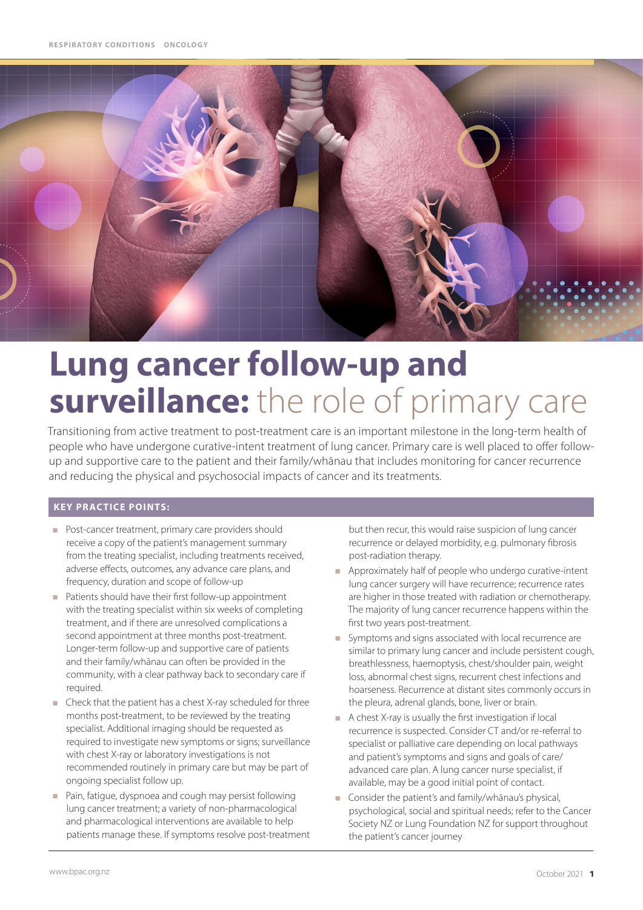

# **Lung cancer follow-up and surveillance:** the role of primary care

Transitioning from active treatment to post-treatment care is an important milestone in the long-term health of people who have undergone curative-intent treatment of lung cancer. Primary care is well placed to offer followup and supportive care to the patient and their family/whānau that includes monitoring for cancer recurrence and reducing the physical and psychosocial impacts of cancer and its treatments.

#### **KEY PRACTICE POINTS:**

- **Post-cancer treatment, primary care providers should** receive a copy of the patient's management summary from the treating specialist, including treatments received, adverse effects, outcomes, any advance care plans, and frequency, duration and scope of follow-up
- **Patients should have their first follow-up appointment** with the treating specialist within six weeks of completing treatment, and if there are unresolved complications a second appointment at three months post-treatment. Longer-term follow-up and supportive care of patients and their family/whānau can often be provided in the community, with a clear pathway back to secondary care if required.
- Check that the patient has a chest X-ray scheduled for three  $\mathcal{L}_{\mathcal{A}}$ months post-treatment, to be reviewed by the treating specialist. Additional imaging should be requested as required to investigate new symptoms or signs; surveillance with chest X-ray or laboratory investigations is not recommended routinely in primary care but may be part of ongoing specialist follow up.
- $\overline{\phantom{a}}$ Pain, fatigue, dyspnoea and cough may persist following lung cancer treatment; a variety of non-pharmacological and pharmacological interventions are available to help patients manage these. If symptoms resolve post-treatment

but then recur, this would raise suspicion of lung cancer recurrence or delayed morbidity, e.g. pulmonary fibrosis post-radiation therapy.

- Approximately half of people who undergo curative-intent lung cancer surgery will have recurrence; recurrence rates are higher in those treated with radiation or chemotherapy. The majority of lung cancer recurrence happens within the first two years post-treatment.
- Symptoms and signs associated with local recurrence are similar to primary lung cancer and include persistent cough, breathlessness, haemoptysis, chest/shoulder pain, weight loss, abnormal chest signs, recurrent chest infections and hoarseness. Recurrence at distant sites commonly occurs in the pleura, adrenal glands, bone, liver or brain.
- A chest X-ray is usually the first investigation if local recurrence is suspected. Consider CT and/or re-referral to specialist or palliative care depending on local pathways and patient's symptoms and signs and goals of care/ advanced care plan. A lung cancer nurse specialist, if available, may be a good initial point of contact.
- Consider the patient's and family/whānau's physical, psychological, social and spiritual needs; refer to the [Cancer](https://www.cancer.org.nz/)  [Society NZ](https://www.cancer.org.nz/) or [Lung Foundation NZ](https://lungfoundation.org.nz/) for support throughout the patient's cancer journey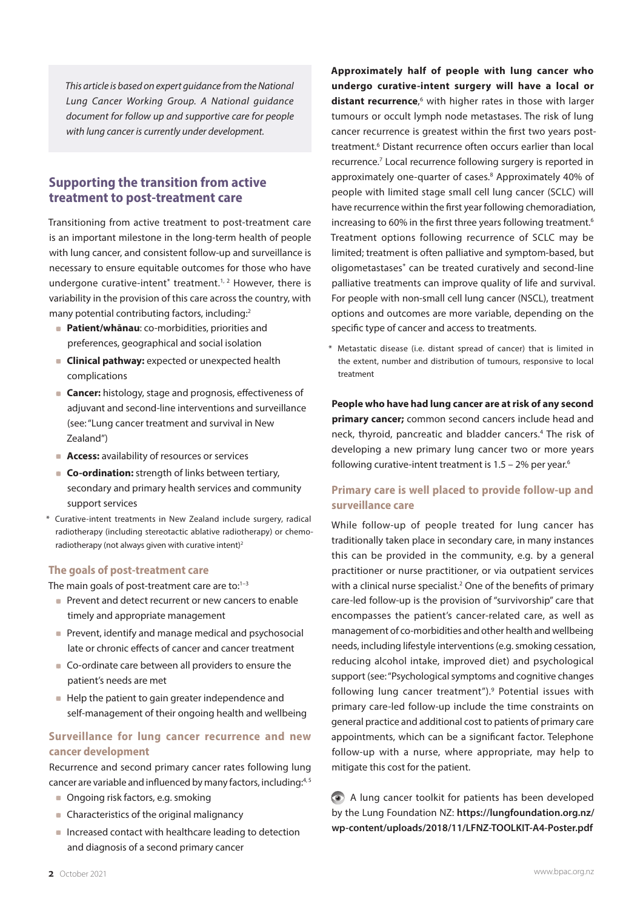*This article is based on expert guidance from the National Lung Cancer Working Group. A National guidance document for follow up and supportive care for people with lung cancer is currently under development.* 

# **Supporting the transition from active treatment to post-treatment care**

Transitioning from active treatment to post-treatment care is an important milestone in the long-term health of people with lung cancer, and consistent follow-up and surveillance is necessary to ensure equitable outcomes for those who have undergone curative-intent<sup>\*</sup> treatment.<sup>1, 2</sup> However, there is variability in the provision of this care across the country, with many potential contributing factors, including:<sup>2</sup>

- **Patient/whānau:** co-morbidities, priorities and preferences, geographical and social isolation
- **Clinical pathway:** expected or unexpected health complications
- **Cancer:** histology, stage and prognosis, effectiveness of adjuvant and second-line interventions and surveillance (see: "Lung cancer treatment and survival in New Zealand")
- **Access:** availability of resources or services
- **Co-ordination:** strength of links between tertiary, secondary and primary health services and community support services
- \* Curative-intent treatments in New Zealand include surgery, radical radiotherapy (including stereotactic ablative radiotherapy) or chemoradiotherapy (not always given with curative intent)<sup>2</sup>

#### **The goals of post-treatment care**

The main goals of post-treatment care are to: $1-3$ 

- **Prevent and detect recurrent or new cancers to enable** timely and appropriate management
- **Prevent, identify and manage medical and psychosocial** late or chronic effects of cancer and cancer treatment
- Co-ordinate care between all providers to ensure the patient's needs are met
- Help the patient to gain greater independence and self-management of their ongoing health and wellbeing

#### **Surveillance for lung cancer recurrence and new cancer development**

Recurrence and second primary cancer rates following lung cancer are variable and influenced by many factors, including:<sup>4,5</sup>

- Ongoing risk factors, e.g. smoking
- Characteristics of the original malignancy
- **Increased contact with healthcare leading to detection** and diagnosis of a second primary cancer

**Approximately half of people with lung cancer who undergo curative-intent surgery will have a local or**  distant recurrence,<sup>6</sup> with higher rates in those with larger tumours or occult lymph node metastases. The risk of lung cancer recurrence is greatest within the first two years posttreatment.<sup>6</sup> Distant recurrence often occurs earlier than local recurrence.<sup>7</sup> Local recurrence following surgery is reported in approximately one-quarter of cases.<sup>8</sup> Approximately 40% of people with limited stage small cell lung cancer (SCLC) will have recurrence within the first year following chemoradiation, increasing to 60% in the first three years following treatment.<sup>6</sup> Treatment options following recurrence of SCLC may be limited; treatment is often palliative and symptom-based, but oligometastases\* can be treated curatively and second-line palliative treatments can improve quality of life and survival. For people with non-small cell lung cancer (NSCL), treatment options and outcomes are more variable, depending on the specific type of cancer and access to treatments.

Metastatic disease (i.e. distant spread of cancer) that is limited in the extent, number and distribution of tumours, responsive to local treatment

**People who have had lung cancer are at risk of any second primary cancer;** common second cancers include head and neck, thyroid, pancreatic and bladder cancers.4 The risk of developing a new primary lung cancer two or more years following curative-intent treatment is  $1.5 - 2%$  per year.<sup>6</sup>

#### **Primary care is well placed to provide follow-up and surveillance care**

While follow-up of people treated for lung cancer has traditionally taken place in secondary care, in many instances this can be provided in the community, e.g. by a general practitioner or nurse practitioner, or via outpatient services with a clinical nurse specialist.<sup>2</sup> One of the benefits of primary care-led follow-up is the provision of "survivorship" care that encompasses the patient's cancer-related care, as well as management of co-morbidities and other health and wellbeing needs, including lifestyle interventions (e.g. smoking cessation, reducing alcohol intake, improved diet) and psychological support (see: "Psychological symptoms and cognitive changes following lung cancer treatment").<sup>9</sup> Potential issues with primary care-led follow-up include the time constraints on general practice and additional cost to patients of primary care appointments, which can be a significant factor. Telephone follow-up with a nurse, where appropriate, may help to mitigate this cost for the patient.

A lung cancer toolkit for patients has been developed by the Lung Foundation NZ: **[https://lungfoundation.org.nz/](https://lungfoundation.org.nz/wp-content/uploads/2018/11/LFNZ-TOOLKIT-A4-Poster.pdf) [wp-content/uploads/2018/11/LFNZ-TOOLKIT-A4-Poster.pdf](https://lungfoundation.org.nz/wp-content/uploads/2018/11/LFNZ-TOOLKIT-A4-Poster.pdf)**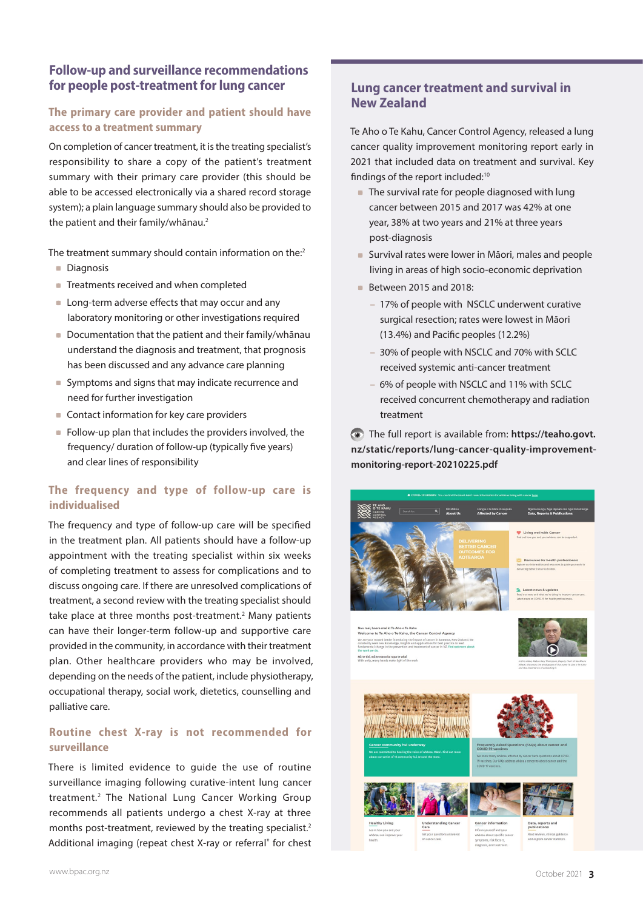# **Follow-up and surveillance recommendations for people post-treatment for lung cancer**

# **The primary care provider and patient should have access to a treatment summary**

On completion of cancer treatment, it is the treating specialist's responsibility to share a copy of the patient's treatment summary with their primary care provider (this should be able to be accessed electronically via a shared record storage system); a plain language summary should also be provided to the patient and their family/whānau.<sup>2</sup>

The treatment summary should contain information on the:<sup>2</sup>

- **Diagnosis**
- Treatments received and when completed
- **Long-term adverse effects that may occur and any** laboratory monitoring or other investigations required
- Documentation that the patient and their family/whānau understand the diagnosis and treatment, that prognosis has been discussed and any advance care planning
- Symptoms and signs that may indicate recurrence and need for further investigation
- Contact information for key care providers
- $\blacksquare$  Follow-up plan that includes the providers involved, the frequency/ duration of follow-up (typically five years) and clear lines of responsibility

#### **The frequency and type of follow-up care is individualised**

The frequency and type of follow-up care will be specified in the treatment plan. All patients should have a follow-up appointment with the treating specialist within six weeks of completing treatment to assess for complications and to discuss ongoing care. If there are unresolved complications of treatment, a second review with the treating specialist should take place at three months post-treatment.<sup>2</sup> Many patients can have their longer-term follow-up and supportive care provided in the community, in accordance with their treatment plan. Other healthcare providers who may be involved, depending on the needs of the patient, include physiotherapy, occupational therapy, social work, dietetics, counselling and palliative care.

#### **Routine chest X-ray is not recommended for surveillance**

There is limited evidence to guide the use of routine surveillance imaging following curative-intent lung cancer treatment.2 The National Lung Cancer Working Group recommends all patients undergo a chest X-ray at three months post-treatment, reviewed by the treating specialist.<sup>2</sup> Additional imaging (repeat chest X-ray or referral\* for chest

# **Lung cancer treatment and survival in New Zealand**

Te Aho o Te Kahu, Cancer Control Agency, released a lung cancer quality improvement monitoring report early in 2021 that included data on treatment and survival. Key findings of the report included:<sup>10</sup>

- The survival rate for people diagnosed with lung cancer between 2015 and 2017 was 42% at one year, 38% at two years and 21% at three years post-diagnosis
- Survival rates were lower in Māori, males and people living in areas of high socio-economic deprivation
- Between 2015 and 2018:
	- 17% of people with NSCLC underwent curative surgical resection; rates were lowest in Māori (13.4%) and Pacific peoples (12.2%)
	- 30% of people with NSCLC and 70% with SCLC received systemic anti-cancer treatment
	- 6% of people with NSCLC and 11% with SCLC received concurrent chemotherapy and radiation treatment

The full report is available from: **https://teaho.govt. nz/static/reports/lung-cancer-quality-improvementmonitoring-report-20210225.pdf**

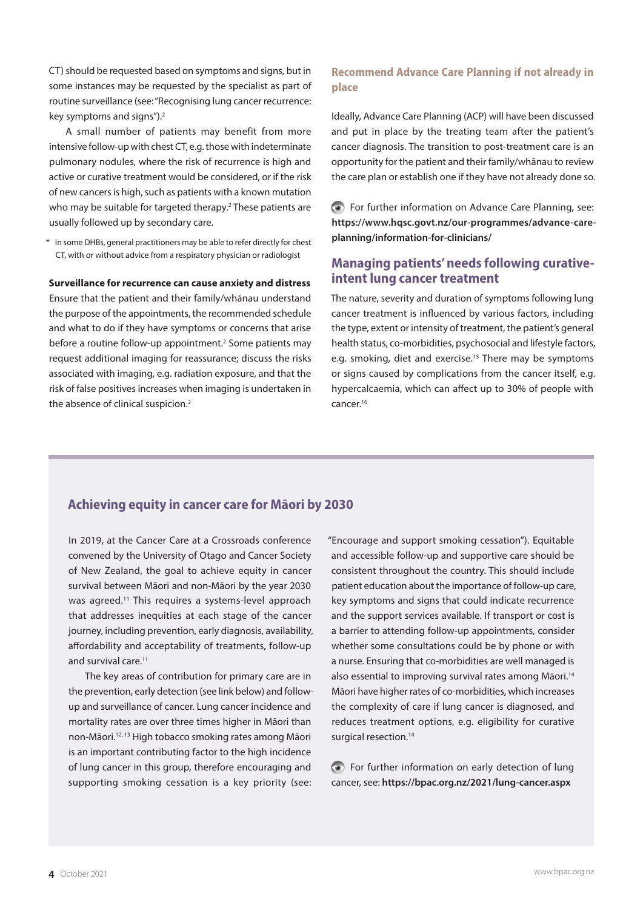CT) should be requested based on symptoms and signs, but in some instances may be requested by the specialist as part of routine surveillance (see: "Recognising lung cancer recurrence: key symptoms and signs").2

A small number of patients may benefit from more intensive follow-up with chest CT, e.g. those with indeterminate pulmonary nodules, where the risk of recurrence is high and active or curative treatment would be considered, or if the risk of new cancers is high, such as patients with a known mutation who may be suitable for targeted therapy.<sup>2</sup> These patients are usually followed up by secondary care.

\* In some DHBs, general practitioners may be able to refer directly for chest CT, with or without advice from a respiratory physician or radiologist

#### **Surveillance for recurrence can cause anxiety and distress**

Ensure that the patient and their family/whānau understand the purpose of the appointments, the recommended schedule and what to do if they have symptoms or concerns that arise before a routine follow-up appointment.<sup>2</sup> Some patients may request additional imaging for reassurance; discuss the risks associated with imaging, e.g. radiation exposure, and that the risk of false positives increases when imaging is undertaken in the absence of clinical suspicion. $2$ 

#### **Recommend Advance Care Planning if not already in place**

Ideally, Advance Care Planning (ACP) will have been discussed and put in place by the treating team after the patient's cancer diagnosis. The transition to post-treatment care is an opportunity for the patient and their family/whānau to review the care plan or establish one if they have not already done so.

For further information on Advance Care Planning, see: **[https://www.hqsc.govt.nz/our-programmes/advance-care](https://www.hqsc.govt.nz/our-programmes/advance-care-planning/information-for-clinicians/)[planning/information-for-clinicians/](https://www.hqsc.govt.nz/our-programmes/advance-care-planning/information-for-clinicians/)**

#### **Managing patients' needs following curativeintent lung cancer treatment**

The nature, severity and duration of symptoms following lung cancer treatment is influenced by various factors, including the type, extent or intensity of treatment, the patient's general health status, co-morbidities, psychosocial and lifestyle factors, e.g. smoking, diet and exercise.<sup>15</sup> There may be symptoms or signs caused by complications from the cancer itself, e.g. hypercalcaemia, which can affect up to 30% of people with cancer.16

# **Achieving equity in cancer care for Māori by 2030**

In 2019, at the Cancer Care at a Crossroads conference convened by the University of Otago and Cancer Society of New Zealand, the goal to achieve equity in cancer survival between Māori and non-Māori by the year 2030 was agreed.<sup>11</sup> This requires a systems-level approach that addresses inequities at each stage of the cancer journey, including prevention, early diagnosis, availability, affordability and acceptability of treatments, follow-up and survival care.11

The key areas of contribution for primary care are in the prevention, early detection (see link below) and followup and surveillance of cancer. Lung cancer incidence and mortality rates are over three times higher in Māori than non-Māori.12, 13 High tobacco smoking rates among Māori is an important contributing factor to the high incidence of lung cancer in this group, therefore encouraging and supporting smoking cessation is a key priority (see:

"Encourage and support smoking cessation"). Equitable and accessible follow-up and supportive care should be consistent throughout the country. This should include patient education about the importance of follow-up care, key symptoms and signs that could indicate recurrence and the support services available. If transport or cost is a barrier to attending follow-up appointments, consider whether some consultations could be by phone or with a nurse. Ensuring that co-morbidities are well managed is also essential to improving survival rates among Māori.<sup>14</sup> Māori have higher rates of co-morbidities, which increases the complexity of care if lung cancer is diagnosed, and reduces treatment options, e.g. eligibility for curative surgical resection.<sup>14</sup>

For further information on early detection of lung cancer, see: **<https://bpac.org.nz/2021/lung-cancer.aspx>**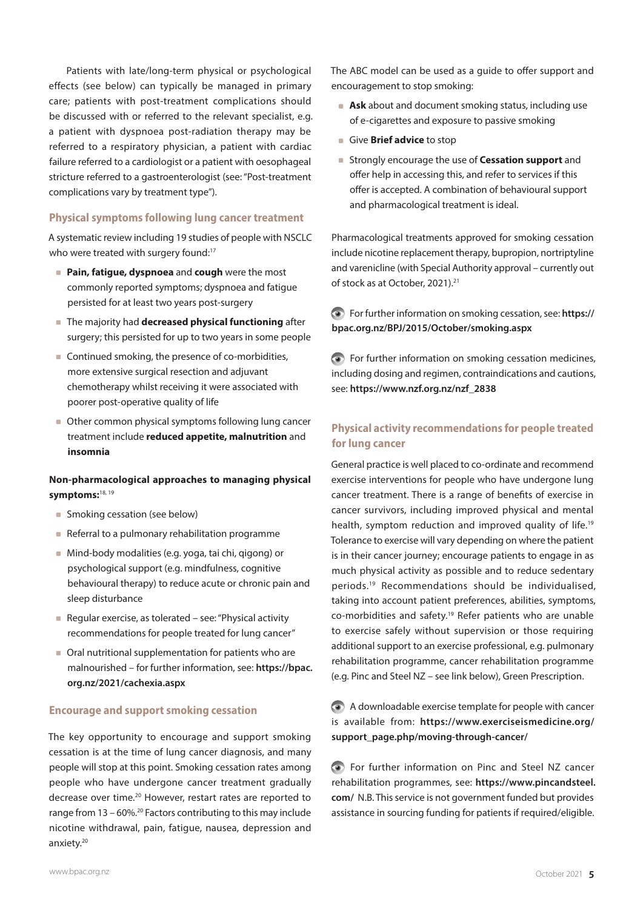Patients with late/long-term physical or psychological effects (see below) can typically be managed in primary care; patients with post-treatment complications should be discussed with or referred to the relevant specialist, e.g. a patient with dyspnoea post-radiation therapy may be referred to a respiratory physician, a patient with cardiac failure referred to a cardiologist or a patient with oesophageal stricture referred to a gastroenterologist (see: "Post-treatment complications vary by treatment type").

#### **Physical symptoms following lung cancer treatment**

A systematic review including 19 studies of people with NSCLC who were treated with surgery found:<sup>17</sup>

- **Pain, fatigue, dyspnoea** and **cough** were the most commonly reported symptoms; dyspnoea and fatigue persisted for at least two years post-surgery
- The majority had **decreased physical functioning** after surgery; this persisted for up to two years in some people
- Continued smoking, the presence of co-morbidities, more extensive surgical resection and adjuvant chemotherapy whilst receiving it were associated with poorer post-operative quality of life
- Other common physical symptoms following lung cancer treatment include **reduced appetite, malnutrition** and **insomnia**

#### **Non-pharmacological approaches to managing physical symptoms:**18, 19

- **Smoking cessation (see below)**
- Referral to a pulmonary rehabilitation programme
- Mind-body modalities (e.g. yoga, tai chi, qigong) or psychological support (e.g. mindfulness, cognitive behavioural therapy) to reduce acute or chronic pain and sleep disturbance
- Regular exercise, as tolerated see: "Physical activity recommendations for people treated for lung cancer"
- Oral nutritional supplementation for patients who are malnourished – for further information, see: **[https://bpac.](https://bpac.org.nz/2021/cachexia.aspx) [org.nz/2021/cachexia.aspx](https://bpac.org.nz/2021/cachexia.aspx)**

#### **Encourage and support smoking cessation**

The key opportunity to encourage and support smoking cessation is at the time of lung cancer diagnosis, and many people will stop at this point. Smoking cessation rates among people who have undergone cancer treatment gradually decrease over time.<sup>20</sup> However, restart rates are reported to range from 13 – 60%.20 Factors contributing to this may include nicotine withdrawal, pain, fatigue, nausea, depression and anxiety.<sup>20</sup>

The ABC model can be used as a guide to offer support and encouragement to stop smoking:

- **Ask** about and document smoking status, including use of e-cigarettes and exposure to passive smoking
- Give **Brief advice** to stop
- Strongly encourage the use of **Cessation support** and offer help in accessing this, and refer to services if this offer is accepted. A combination of behavioural support and pharmacological treatment is ideal.

Pharmacological treatments approved for smoking cessation include nicotine replacement therapy, bupropion, nortriptyline and varenicline (with Special Authority approval – currently out of stock as at October, 2021).21

For further information on smoking cessation, see: **[https://](https://bpac.org.nz/BPJ/2015/October/smoking.aspx) [bpac.org.nz/BPJ/2015/October/smoking.aspx](https://bpac.org.nz/BPJ/2015/October/smoking.aspx)**

For further information on smoking cessation medicines, including dosing and regimen, contraindications and cautions, see: **[https://www.nzf.org.nz/nzf\\_2838](https://www.nzf.org.nz/nzf_2838)**

#### **Physical activity recommendations for people treated for lung cancer**

General practice is well placed to co-ordinate and recommend exercise interventions for people who have undergone lung cancer treatment. There is a range of benefits of exercise in cancer survivors, including improved physical and mental health, symptom reduction and improved quality of life.<sup>19</sup> Tolerance to exercise will vary depending on where the patient is in their cancer journey; encourage patients to engage in as much physical activity as possible and to reduce sedentary periods.19 Recommendations should be individualised, taking into account patient preferences, abilities, symptoms, co-morbidities and safety.19 Refer patients who are unable to exercise safely without supervision or those requiring additional support to an exercise professional, e.g. pulmonary rehabilitation programme, cancer rehabilitation programme (e.g. Pinc and Steel NZ – see link below), Green Prescription.

A downloadable exercise template for people with cancer is available from: **[https://www.exerciseismedicine.org/](https://www.exerciseismedicine.org/support_page.php/moving-through-cancer/) [support\\_page.php/moving-through-cancer/](https://www.exerciseismedicine.org/support_page.php/moving-through-cancer/)**

For further information on Pinc and Steel NZ cancer rehabilitation programmes, see: **[https://www.pincandsteel.](https://www.pincandsteel.com/) [com/](https://www.pincandsteel.com/)** N.B. This service is not government funded but provides assistance in sourcing funding for patients if required/eligible.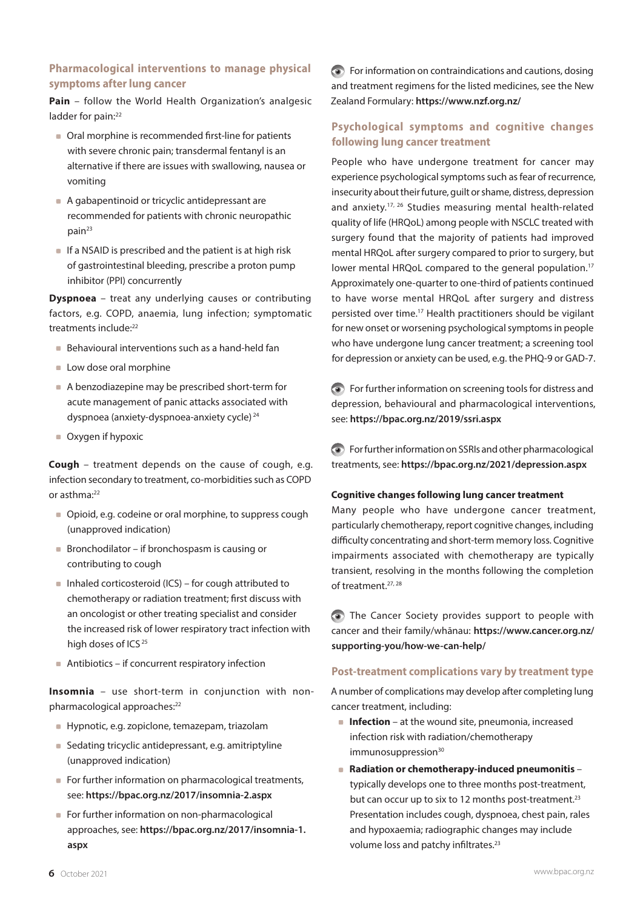# **Pharmacological interventions to manage physical symptoms after lung cancer**

**Pain** – follow the World Health Organization's analgesic ladder for pain:<sup>22</sup>

- Oral morphine is recommended first-line for patients with severe chronic pain; transdermal fentanyl is an alternative if there are issues with swallowing, nausea or vomiting
- A gabapentinoid or tricyclic antidepressant are recommended for patients with chronic neuropathic pain<sup>23</sup>
- $\blacksquare$  If a NSAID is prescribed and the patient is at high risk of gastrointestinal bleeding, prescribe a proton pump inhibitor (PPI) concurrently

**Dyspnoea** – treat any underlying causes or contributing factors, e.g. COPD, anaemia, lung infection; symptomatic treatments include:22

- Behavioural interventions such as a hand-held fan
- **Low dose oral morphine**
- A benzodiazepine may be prescribed short-term for acute management of panic attacks associated with dyspnoea (anxiety-dyspnoea-anxiety cycle) <sup>24</sup>
- Oxygen if hypoxic

**Cough** – treatment depends on the cause of cough, e.g. infection secondary to treatment, co-morbidities such as COPD or asthma:<sup>22</sup>

- Opioid, e.g. codeine or oral morphine, to suppress cough (unapproved indication)
- Bronchodilator if bronchospasm is causing or contributing to cough
- $\blacksquare$  Inhaled corticosteroid (ICS) for cough attributed to chemotherapy or radiation treatment; first discuss with an oncologist or other treating specialist and consider the increased risk of lower respiratory tract infection with high doses of ICS<sup>25</sup>
- Antibiotics if concurrent respiratory infection

**Insomnia** – use short-term in conjunction with nonpharmacological approaches:<sup>22</sup>

- Hypnotic, e.g. zopiclone, temazepam, triazolam
- Sedating tricyclic antidepressant, e.g. amitriptyline (unapproved indication)
- For further information on pharmacological treatments, see: **<https://bpac.org.nz/2017/insomnia-2.aspx>**
- For further information on non-pharmacological approaches, see: **[https://bpac.org.nz/2017/insomnia-1.](https://bpac.org.nz/2017/insomnia-1.aspx) [aspx](https://bpac.org.nz/2017/insomnia-1.aspx)**

For information on contraindications and cautions, dosing and treatment regimens for the listed medicines, see the New Zealand Formulary: **<https://www.nzf.org.nz/>**

# **Psychological symptoms and cognitive changes following lung cancer treatment**

People who have undergone treatment for cancer may experience psychological symptoms such as fear of recurrence, insecurity about their future, guilt or shame, distress, depression and anxiety.17, 26 Studies measuring mental health-related quality of life (HRQoL) among people with NSCLC treated with surgery found that the majority of patients had improved mental HRQoL after surgery compared to prior to surgery, but lower mental HRQoL compared to the general population.<sup>17</sup> Approximately one-quarter to one-third of patients continued to have worse mental HRQoL after surgery and distress persisted over time.17 Health practitioners should be vigilant for new onset or worsening psychological symptoms in people who have undergone lung cancer treatment; a screening tool for depression or anxiety can be used, e.g. the PHQ-9 or GAD-7.

For further information on screening tools for distress and depression, behavioural and pharmacological interventions, see: **<https://bpac.org.nz/2019/ssri.aspx>**

For further information on SSRIs and other pharmacological treatments, see: **<https://bpac.org.nz/2021/depression.aspx>**

#### **Cognitive changes following lung cancer treatment**

Many people who have undergone cancer treatment, particularly chemotherapy, report cognitive changes, including difficulty concentrating and short-term memory loss. Cognitive impairments associated with chemotherapy are typically transient, resolving in the months following the completion of treatment.27, 28

The Cancer Society provides support to people with cancer and their family/whānau: **[https://www.cancer.org.nz/](https://www.cancer.org.nz/supporting-you/how-we-can-help/) [supporting-you/how-we-can-help/](https://www.cancer.org.nz/supporting-you/how-we-can-help/)**

#### **Post-treatment complications vary by treatment type**

A number of complications may develop after completing lung cancer treatment, including:

- **Infection** at the wound site, pneumonia, increased infection risk with radiation/chemotherapy  $immunosuppression<sup>30</sup>$
- Radiation or chemotherapy-induced pneumonitis typically develops one to three months post-treatment, but can occur up to six to 12 months post-treatment.<sup>23</sup> Presentation includes cough, dyspnoea, chest pain, rales and hypoxaemia; radiographic changes may include volume loss and patchy infiltrates.<sup>23</sup>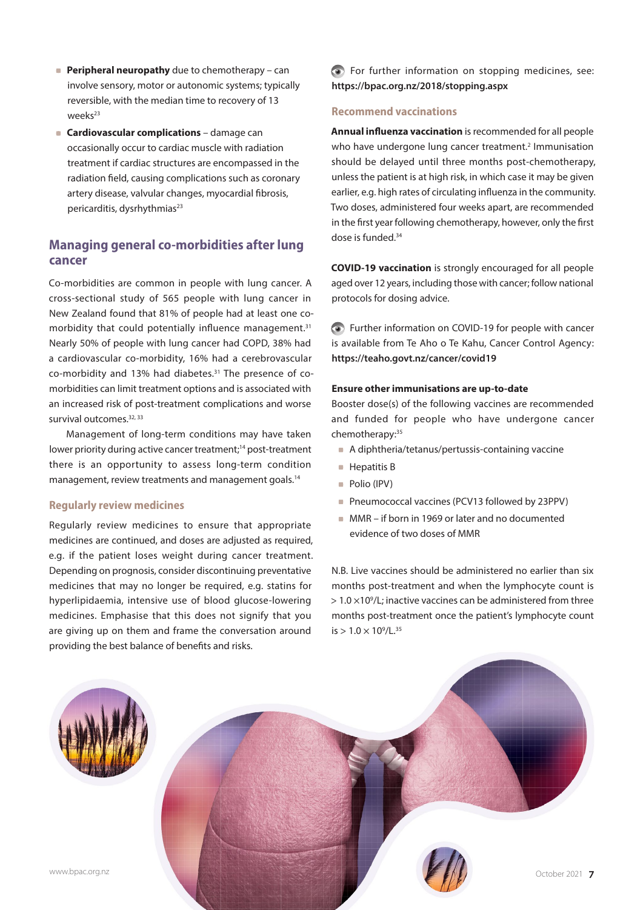- **Peripheral neuropathy** due to chemotherapy can involve sensory, motor or autonomic systems; typically reversible, with the median time to recovery of 13  $w$ eeks<sup>23</sup>
- **Cardiovascular complications** damage can occasionally occur to cardiac muscle with radiation treatment if cardiac structures are encompassed in the radiation field, causing complications such as coronary artery disease, valvular changes, myocardial fibrosis, pericarditis, dysrhythmias<sup>23</sup>

# **Managing general co-morbidities after lung cancer**

Co-morbidities are common in people with lung cancer. A cross-sectional study of 565 people with lung cancer in New Zealand found that 81% of people had at least one comorbidity that could potentially influence management.<sup>31</sup> Nearly 50% of people with lung cancer had COPD, 38% had a cardiovascular co-morbidity, 16% had a cerebrovascular co-morbidity and 13% had diabetes.31 The presence of comorbidities can limit treatment options and is associated with an increased risk of post-treatment complications and worse survival outcomes.<sup>32, 33</sup>

Management of long-term conditions may have taken lower priority during active cancer treatment;<sup>14</sup> post-treatment there is an opportunity to assess long-term condition management, review treatments and management goals.<sup>14</sup>

#### **Regularly review medicines**

Regularly review medicines to ensure that appropriate medicines are continued, and doses are adjusted as required, e.g. if the patient loses weight during cancer treatment. Depending on prognosis, consider discontinuing preventative medicines that may no longer be required, e.g. statins for hyperlipidaemia, intensive use of blood glucose-lowering medicines. Emphasise that this does not signify that you are giving up on them and frame the conversation around providing the best balance of benefits and risks.

For further information on stopping medicines, see: **<https://bpac.org.nz/2018/stopping.aspx>**

#### **Recommend vaccinations**

**Annual influenza vaccination** is recommended for all people who have undergone lung cancer treatment.<sup>2</sup> Immunisation should be delayed until three months post-chemotherapy, unless the patient is at high risk, in which case it may be given earlier, e.g. high rates of circulating influenza in the community. Two doses, administered four weeks apart, are recommended in the first year following chemotherapy, however, only the first dose is funded.34

**COVID-19 vaccination** is strongly encouraged for all people aged over 12 years, including those with cancer; follow national protocols for dosing advice.

Further information on COVID-19 for people with cancer is available from Te Aho o Te Kahu, Cancer Control Agency: **<https://teaho.govt.nz/cancer/covid19>**

#### **Ensure other immunisations are up-to-date**

Booster dose(s) of the following vaccines are recommended and funded for people who have undergone cancer chemotherapy:35

- A diphtheria/tetanus/pertussis-containing vaccine
- **Hepatitis B**
- Polio (IPV)
- Pneumococcal vaccines (PCV13 followed by 23PPV)
- MMR if born in 1969 or later and no documented evidence of two doses of MMR

N.B. Live vaccines should be administered no earlier than six months post-treatment and when the lymphocyte count is  $> 1.0 \times 10^9$ /L; inactive vaccines can be administered from three months post-treatment once the patient's lymphocyte count  $is > 1.0 \times 10^9/L^{35}$ 

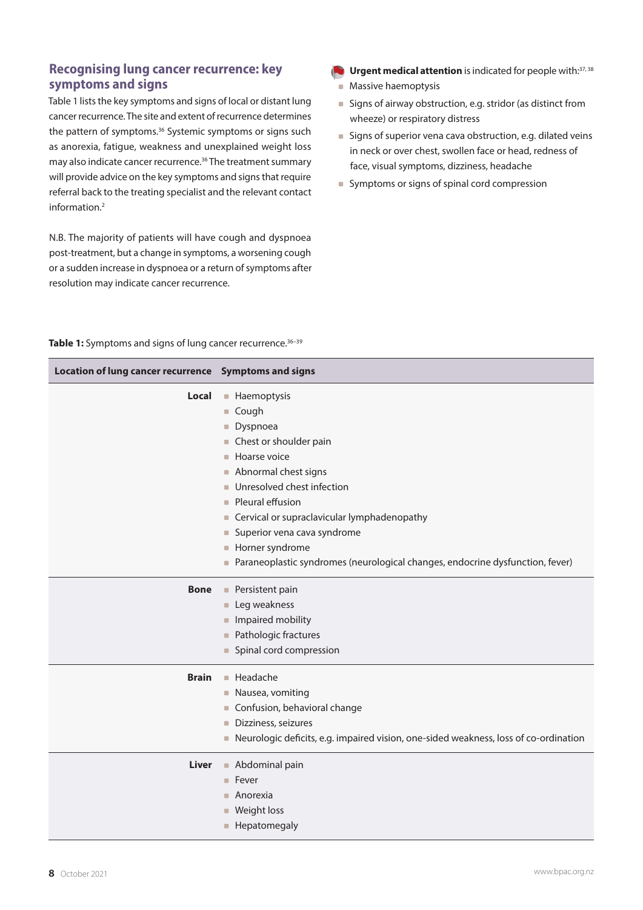# **Recognising lung cancer recurrence: key symptoms and signs**

Table 1 lists the key symptoms and signs of local or distant lung cancer recurrence. The site and extent of recurrence determines the pattern of symptoms.<sup>36</sup> Systemic symptoms or signs such as anorexia, fatigue, weakness and unexplained weight loss may also indicate cancer recurrence.36 The treatment summary will provide advice on the key symptoms and signs that require referral back to the treating specialist and the relevant contact information.2

N.B. The majority of patients will have cough and dyspnoea post-treatment, but a change in symptoms, a worsening cough or a sudden increase in dyspnoea or a return of symptoms after resolution may indicate cancer recurrence.

- **Urgent medical attention** is indicated for people with: 37, 38
	- **Massive haemoptysis**
	- Signs of airway obstruction, e.g. stridor (as distinct from wheeze) or respiratory distress
	- **Signs of superior vena cava obstruction, e.g. dilated veins** in neck or over chest, swollen face or head, redness of face, visual symptoms, dizziness, headache
	- Symptoms or signs of spinal cord compression

|  |  |  |  | Table 1: Symptoms and signs of lung cancer recurrence. <sup>36-39</sup> |  |
|--|--|--|--|-------------------------------------------------------------------------|--|
|  |  |  |  |                                                                         |  |

| Location of lung cancer recurrence Symptoms and signs |                                                                                        |  |  |  |  |
|-------------------------------------------------------|----------------------------------------------------------------------------------------|--|--|--|--|
| Local                                                 | <b>Haemoptysis</b>                                                                     |  |  |  |  |
|                                                       | Cough                                                                                  |  |  |  |  |
|                                                       | Dyspnoea<br>$\Box$                                                                     |  |  |  |  |
|                                                       | Chest or shoulder pain<br>$\Box$                                                       |  |  |  |  |
|                                                       | • Hoarse voice                                                                         |  |  |  |  |
|                                                       | Abnormal chest signs<br>$\Box$                                                         |  |  |  |  |
|                                                       | Unresolved chest infection<br><b>COL</b>                                               |  |  |  |  |
|                                                       | Pleural effusion<br>$\Box$                                                             |  |  |  |  |
|                                                       | • Cervical or supraclavicular lymphadenopathy                                          |  |  |  |  |
|                                                       | Superior vena cava syndrome                                                            |  |  |  |  |
|                                                       | Horner syndrome<br>$\Box$                                                              |  |  |  |  |
|                                                       | Paraneoplastic syndromes (neurological changes, endocrine dysfunction, fever)          |  |  |  |  |
| <b>Bone</b>                                           | • Persistent pain                                                                      |  |  |  |  |
|                                                       | Leg weakness                                                                           |  |  |  |  |
|                                                       | Impaired mobility                                                                      |  |  |  |  |
|                                                       | • Pathologic fractures                                                                 |  |  |  |  |
|                                                       | • Spinal cord compression                                                              |  |  |  |  |
| <b>Brain</b>                                          | • Headache                                                                             |  |  |  |  |
|                                                       | • Nausea, vomiting                                                                     |  |  |  |  |
|                                                       | Confusion, behavioral change<br>$\Box$                                                 |  |  |  |  |
|                                                       | Dizziness, seizures<br>$\Box$                                                          |  |  |  |  |
|                                                       | • Neurologic deficits, e.g. impaired vision, one-sided weakness, loss of co-ordination |  |  |  |  |
| Liver                                                 | Abdominal pain                                                                         |  |  |  |  |
|                                                       | <b>Fever</b>                                                                           |  |  |  |  |
|                                                       | $\blacksquare$ Anorexia                                                                |  |  |  |  |
|                                                       | Weight loss<br>$\Box$                                                                  |  |  |  |  |
|                                                       | • Hepatomegaly                                                                         |  |  |  |  |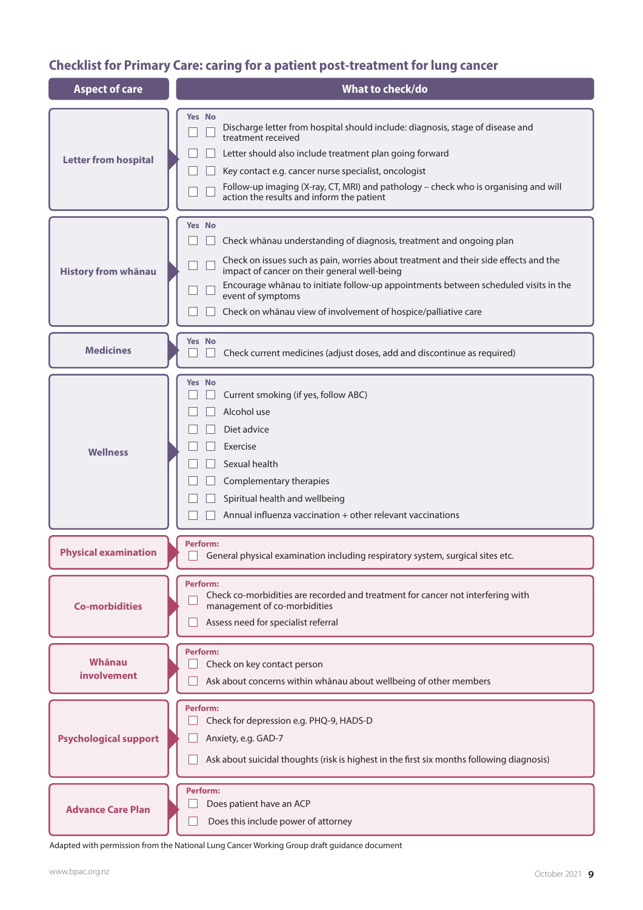# **Checklist for Primary Care: caring for a patient post-treatment for lung cancer**

| <b>Aspect of care</b>        | What to check/do                                                                                                                                                                                                                                                                                                                                                                                           |  |  |  |  |  |
|------------------------------|------------------------------------------------------------------------------------------------------------------------------------------------------------------------------------------------------------------------------------------------------------------------------------------------------------------------------------------------------------------------------------------------------------|--|--|--|--|--|
| <b>Letter from hospital</b>  | <b>Yes No</b><br>Discharge letter from hospital should include: diagnosis, stage of disease and<br>treatment received<br>Letter should also include treatment plan going forward<br>Key contact e.g. cancer nurse specialist, oncologist<br>Follow-up imaging (X-ray, CT, MRI) and pathology - check who is organising and will<br>action the results and inform the patient                               |  |  |  |  |  |
| <b>History from whānau</b>   | <b>Yes</b> No<br>Check whānau understanding of diagnosis, treatment and ongoing plan<br>Check on issues such as pain, worries about treatment and their side effects and the<br>impact of cancer on their general well-being<br>Encourage whānau to initiate follow-up appointments between scheduled visits in the<br>event of symptoms<br>Check on whānau view of involvement of hospice/palliative care |  |  |  |  |  |
| <b>Medicines</b>             | Yes No<br>Check current medicines (adjust doses, add and discontinue as required)                                                                                                                                                                                                                                                                                                                          |  |  |  |  |  |
| <b>Wellness</b>              | <b>Yes</b> No<br>Current smoking (if yes, follow ABC)<br>Alcohol use<br>Diet advice<br>Exercise<br>Sexual health<br>Complementary therapies<br>Spiritual health and wellbeing<br>Annual influenza vaccination + other relevant vaccinations                                                                                                                                                                |  |  |  |  |  |
| <b>Physical examination</b>  | <b>Perform:</b><br>General physical examination including respiratory system, surgical sites etc.                                                                                                                                                                                                                                                                                                          |  |  |  |  |  |
| <b>Co-morbidities</b>        | Perform:<br>Check co-morbidities are recorded and treatment for cancer not interfering with<br>management of co-morbidities<br>Assess need for specialist referral                                                                                                                                                                                                                                         |  |  |  |  |  |
| Whānau<br><b>involvement</b> | <b>Perform:</b><br>Check on key contact person<br>Ask about concerns within whanau about wellbeing of other members                                                                                                                                                                                                                                                                                        |  |  |  |  |  |
| <b>Psychological support</b> | <b>Perform:</b><br>Check for depression e.g. PHQ-9, HADS-D<br>Anxiety, e.g. GAD-7<br>Ask about suicidal thoughts (risk is highest in the first six months following diagnosis)                                                                                                                                                                                                                             |  |  |  |  |  |
| <b>Advance Care Plan</b>     | <b>Perform:</b><br>Does patient have an ACP<br>Does this include power of attorney                                                                                                                                                                                                                                                                                                                         |  |  |  |  |  |

Adapted with permission from the National Lung Cancer Working Group draft guidance document